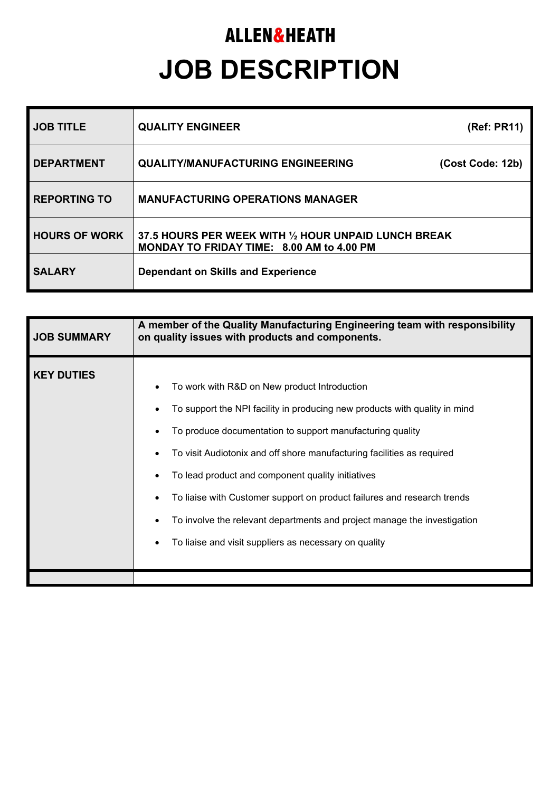## **ALLEN&HEATH JOB DESCRIPTION**

| <b>JOB TITLE</b>     | <b>QUALITY ENGINEER</b>                                                                                  | (Ref: PR11)      |
|----------------------|----------------------------------------------------------------------------------------------------------|------------------|
| <b>DEPARTMENT</b>    | <b>QUALITY/MANUFACTURING ENGINEERING</b>                                                                 | (Cost Code: 12b) |
| <b>REPORTING TO</b>  | <b>MANUFACTURING OPERATIONS MANAGER</b>                                                                  |                  |
| <b>HOURS OF WORK</b> | 37.5 HOURS PER WEEK WITH 1/2 HOUR UNPAID LUNCH BREAK<br><b>MONDAY TO FRIDAY TIME: 8.00 AM to 4.00 PM</b> |                  |
| <b>SALARY</b>        | <b>Dependant on Skills and Experience</b>                                                                |                  |

| <b>JOB SUMMARY</b> | A member of the Quality Manufacturing Engineering team with responsibility<br>on quality issues with products and components.                                                                                                                                                                                                                                                                                                                                                                                                          |  |  |
|--------------------|----------------------------------------------------------------------------------------------------------------------------------------------------------------------------------------------------------------------------------------------------------------------------------------------------------------------------------------------------------------------------------------------------------------------------------------------------------------------------------------------------------------------------------------|--|--|
| <b>KEY DUTIES</b>  | To work with R&D on New product Introduction<br>To support the NPI facility in producing new products with quality in mind<br>To produce documentation to support manufacturing quality<br>To visit Audiotonix and off shore manufacturing facilities as required<br>To lead product and component quality initiatives<br>To liaise with Customer support on product failures and research trends<br>To involve the relevant departments and project manage the investigation<br>To liaise and visit suppliers as necessary on quality |  |  |
|                    |                                                                                                                                                                                                                                                                                                                                                                                                                                                                                                                                        |  |  |